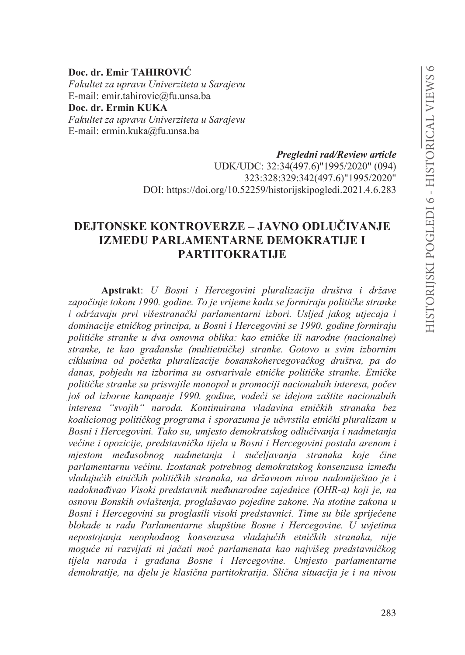### Doc. dr. Emir TAHIROVIĆ

Fakultet za upravu Univerziteta u Sarajevu E-mail: emir.tahirovic@fu.unsa.ba Doc. dr. Ermin KUKA Fakultet za upravu Univerziteta u Sarajevu E-mail: ermin.kuka@fu.unsa.ba

> Pregledni rad/Review article UDK/UDC: 32:34(497.6)"1995/2020" (094) 323:328:329:342(497.6)"1995/2020" DOI: https://doi.org/10.52259/historijskipogledi.2021.4.6.283

# **DEJTONSKE KONTROVERZE – JAVNO ODLUČIVANJE IZMEĐU PARLAMENTARNE DEMOKRATLIE I PARTITOKRATIJE**

Apstrakt: U Bosni i Hercegovini pluralizacija društva i države započinje tokom 1990. godine. To je vrijeme kada se formiraju političke stranke i održavaju prvi višestranački parlamentarni izbori. Usljed jakog utjecaja i dominacije etničkog principa, u Bosni i Hercegovini se 1990. godine formiraju političke stranke u dva osnovna oblika: kao etničke ili narodne (nacionalne) stranke, te kao građanske (multietničke) stranke. Gotovo u svim izbornim ciklusima od početka pluralizacije bosanskohercegovačkog društva, pa do danas, pobjedu na izborima su ostvarivale etničke političke stranke. Etničke političke stranke su prisvojile monopol u promociji nacionalnih interesa, počev još od izborne kampanje 1990. godine, vodeći se idejom zaštite nacionalnih interesa "svojih" naroda. Kontinuirana vladavina etničkih stranaka bez koalicionog političkog programa i sporazuma je učvrstila etnički pluralizam u Bosni i Hercegovini. Tako su, umjesto demokratskog odlučivanja i nadmetanja većine i opozicije, predstavnička tijela u Bosni i Hercegovini postala arenom i mjestom međusobnog nadmetanja i sučeljavanja stranaka koje čine parlamentarnu većinu. Izostanak potrebnog demokratskog konsenzusa između vladajućih etničkih političkih stranaka, na državnom nivou nadomiještao je i nadoknađivao Visoki predstavnik međunarodne zajednice (OHR-a) koji je, na osnovu Bonskih ovlaštenja, proglašavao pojedine zakone. Na stotine zakona u Bosni i Hercegovini su proglasili visoki predstavnici. Time su bile spriječene blokade u radu Parlamentarne skupštine Bosne i Hercegovine. U uvjetima nepostojanja neophodnog konsenzusa vladajućih etničkih stranaka, nije moguće ni razvijati ni jačati moć parlamenata kao najvišeg predstavničkog tijela naroda i građana Bosne i Hercegovine. Umjesto parlamentarne demokratije, na djelu je klasična partitokratija. Slična situacija je i na nivou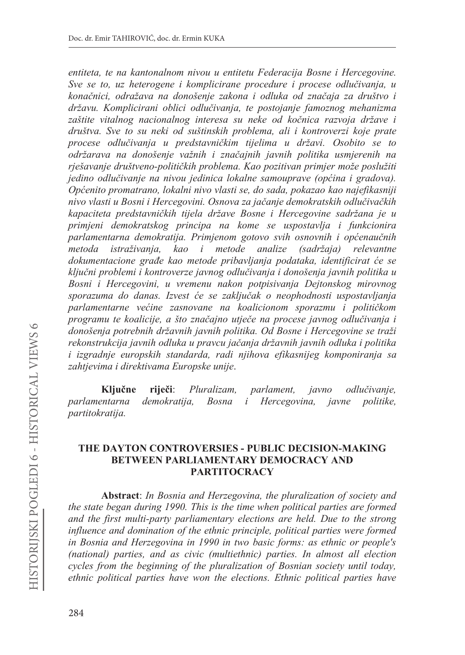entiteta, te na kantonalnom nivou u entitetu Federacija Bosne i Hercegovine. Sve se to, uz heterogene i komplicirane procedure i procese odlučivanja, u konačnici, odražava na donošenje zakona i odluka od značaja za društvo i državu. Komplicirani oblici odlučivanja, te postojanje famoznog mehanizma zaštite vitalnog nacionalnog interesa su neke od kočnica razvoja države i društva. Sve to su neki od suštinskih problema, ali i kontroverzi koje prate procese odlučivanja u predstavničkim tijelima u državi. Osobito se to održarava na donošenje važnih i značajnih javnih politika usmjerenih na rješavanje društveno-političkih problema. Kao pozitivan primjer može poslužiti jedino odlučivanje na nivou jedinica lokalne samouprave (općina i gradova). Općenito promatrano, lokalni nivo vlasti se, do sada, pokazao kao najefikasniji nivo vlasti u Bosni i Hercegovini. Osnova za jačanje demokratskih odlučivačkih kapaciteta predstavničkih tijela države Bosne i Hercegovine sadržana je u primjeni demokratskog principa na kome se uspostavlja i funkcionira parlamentarna demokratija. Primjenom gotovo svih osnovnih i općenaučnih metoda istraživanja. kao i metode analize  $(sadr\check{z}aia)$ relevantne dokumentacione građe kao metode pribavljanja podataka, identificirat će se ključni problemi i kontroverze javnog odlučivanja i donošenja javnih politika u Bosni i Hercegovini, u vremenu nakon potpisivanja Dejtonskog mirovnog sporazuma do danas. Izvest će se zaključak o neophodnosti uspostavljanja parlamentarne većine zasnovane na koalicionom sporazmu i političkom programu te koalicije, a što značajno utječe na procese javnog odlučivanja i donošenja potrebnih državnih javnih politika. Od Bosne i Hercegovine se traži rekonstrukcija javnih odluka u pravcu jačanja državnih javnih odluka i politika i izgradnje europskih standarda, radi njihova efikasnijeg komponiranja sa zahtjevima i direktivama Europske unije.

Kliučne riječi: Pluralizam. parlament, odlučivanie. javno parlamentarna demokratija, Bosna  $\dot{i}$ Hercegovina, javne *politike.* partitokratija.

### THE DAYTON CONTROVERSIES - PUBLIC DECISION-MAKING BETWEEN PARLIAMENTARY DEMOCRACY AND **PARTITOCRACY**

**Abstract:** In Bosnia and Herzegovina, the pluralization of society and the state began during 1990. This is the time when political parties are formed and the first multi-party parliamentary elections are held. Due to the strong influence and domination of the ethnic principle, political parties were formed in Bosnia and Herzegovina in 1990 in two basic forms: as ethnic or people's (national) parties, and as civic (multiethnic) parties. In almost all election cycles from the beginning of the pluralization of Bosnian society until today, ethnic political parties have won the elections. Ethnic political parties have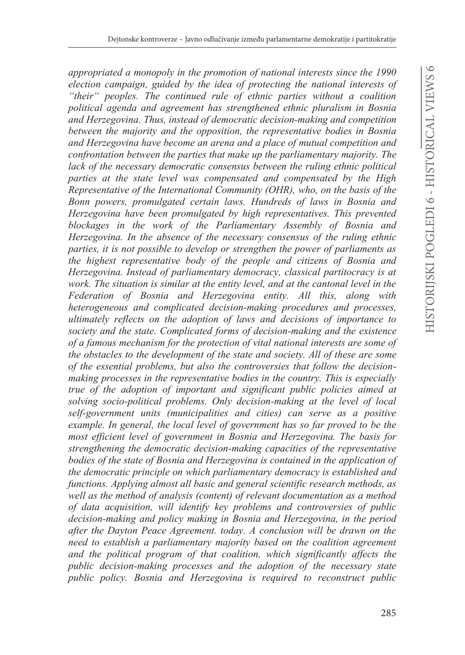*appropriated a monopoly in the promotion of national interests since the 1990 election campaign, guided by the idea of protecting the national interests of*  "their" peoples. The continued rule of ethnic parties without a coalition *political agenda and agreement has strengthened ethnic pluralism in Bosnia and Herzegovina. Thus, instead of democratic decision-making and competition between the majority and the opposition, the representative bodies in Bosnia and Herzegovina have become an arena and a place of mutual competition and confrontation between the parties that make up the parliamentary majority. The lack of the necessary democratic consensus between the ruling ethnic political parties at the state level was compensated and compensated by the High Representative of the International Community (OHR), who, on the basis of the Bonn powers, promulgated certain laws. Hundreds of laws in Bosnia and Herzegovina have been promulgated by high representatives. This prevented blockages in the work of the Parliamentary Assembly of Bosnia and Herzegovina. In the absence of the necessary consensus of the ruling ethnic parties, it is not possible to develop or strengthen the power of parliaments as the highest representative body of the people and citizens of Bosnia and Herzegovina. Instead of parliamentary democracy, classical partitocracy is at work. The situation is similar at the entity level, and at the cantonal level in the Federation of Bosnia and Herzegovina entity. All this, along with heterogeneous and complicated decision-making procedures and processes, ultimately reflects on the adoption of laws and decisions of importance to society and the state. Complicated forms of decision-making and the existence of a famous mechanism for the protection of vital national interests are some of the obstacles to the development of the state and society. All of these are some of the essential problems, but also the controversies that follow the decisionmaking processes in the representative bodies in the country. This is especially true of the adoption of important and significant public policies aimed at solving socio-political problems. Only decision-making at the level of local self-government units (municipalities and cities) can serve as a positive example. In general, the local level of government has so far proved to be the most efficient level of government in Bosnia and Herzegovina. The basis for strengthening the democratic decision-making capacities of the representative bodies of the state of Bosnia and Herzegovina is contained in the application of the democratic principle on which parliamentary democracy is established and functions. Applying almost all basic and general scientific research methods, as well as the method of analysis (content) of relevant documentation as a method of data acquisition, will identify key problems and controversies of public decision-making and policy making in Bosnia and Herzegovina, in the period after the Dayton Peace Agreement. today. A conclusion will be drawn on the need to establish a parliamentary majority based on the coalition agreement*  and the political program of that coalition, which significantly affects the *public decision-making processes and the adoption of the necessary state public policy. Bosnia and Herzegovina is required to reconstruct public*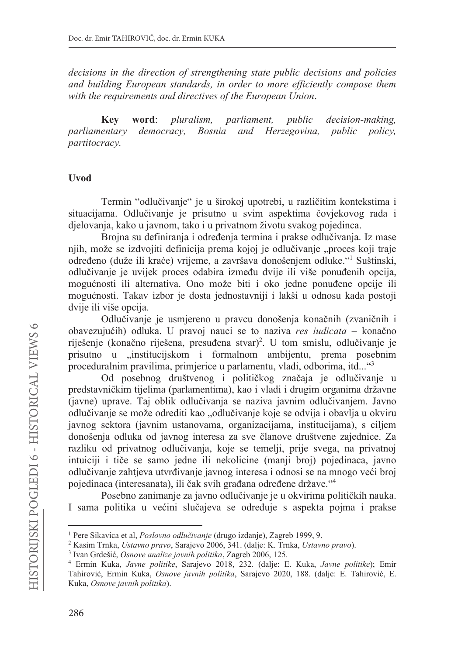decisions in the direction of strengthening state public decisions and policies and building European standards, in order to more efficiently compose them with the requirements and directives of the European Union.

**Kev** word: pluralism, parliament, public decision-making, parliamentary democracy, Bosnia and Herzegovina, public policy, partitocracy.

### **I**Ivod

Termin "odlučivanje" je u širokoj upotrebi, u različitim kontekstima i situacijama. Odlučivanje je prisutno u svim aspektima čovjekovog rada i djelovanja, kako u javnom, tako i u privatnom životu svakog pojedinca.

Brojna su definiranja i određenja termina i prakse odlučivanja. Iz mase njih, može se izdvojiti definicija prema kojoj je odlučivanje "proces koji traje određeno (duže ili kraće) vrijeme, a završava donošenjem odluke."<sup>1</sup> Suštinski, odlučivanje je uvijek proces odabira između dvije ili više ponuđenih opcija, mogućnosti ili alternativa. Ono može biti i oko jedne ponuđene opcije ili mogućnosti. Takav izbor je dosta jednostavniji i lakši u odnosu kada postoji dvije ili više opcija.

Odlučivanje je usmjereno u pravcu donošenja konačnih (zvaničnih i obavezujućih) odluka. U pravoj nauci se to naziva res iudicata – konačno riješenje (konačno riješena, presuđena stvar)<sup>2</sup>. U tom smislu, odlučivanje je prisutno u "institucijskom i formalnom ambijentu, prema posebnim proceduralnim pravilima, primjerice u parlamentu, vladi, odborima, itd..."<sup>3</sup>

Od posebnog društvenog i političkog značaja je odlučivanje u predstavničkim tijelima (parlamentima), kao i vladi i drugim organima državne (javne) uprave. Taj oblik odlučivanja se naziva javnim odlučivanjem. Javno odlučivanje se može odrediti kao "odlučivanje koje se odvija i obavlja u okviru javnog sektora (javnim ustanovama, organizacijama, institucijama), s ciljem donošenja odluka od javnog interesa za sve članove društvene zajednice. Za razliku od privatnog odlučivanja, koje se temelji, prije svega, na privatnoj intuiciji i tiče se samo jedne ili nekolicine (manji broj) pojedinaca, javno odlučivanje zahtjeva utvrđivanje javnog interesa i odnosi se na mnogo veći broj pojedinaca (interesanata), ili čak svih građana određene države."<sup>4</sup>

Posebno zanimanje za javno odlučivanje je u okvirima političkih nauka. I sama politika u većini slučajeva se određuje s aspekta pojma i prakse

<sup>&</sup>lt;sup>1</sup> Pere Sikavica et al, *Poslovno odlučivanje* (drugo izdanje), Zagreb 1999, 9.

<sup>&</sup>lt;sup>2</sup> Kasim Trnka, *Ustavno pravo*, Sarajevo 2006, 341. (dalje: K. Trnka, *Ustavno pravo*).

<sup>&</sup>lt;sup>3</sup> Ivan Grdešić, Osnove analize javnih politika, Zagreb 2006, 125.

<sup>&</sup>lt;sup>4</sup> Ermin Kuka, Javne politike, Sarajevo 2018, 232. (dalje: E. Kuka, Javne politike); Emir Tahirović, Ermin Kuka, Osnove javnih politika, Sarajevo 2020, 188. (dalje: E. Tahirović, E. Kuka, Osnove javnih politika).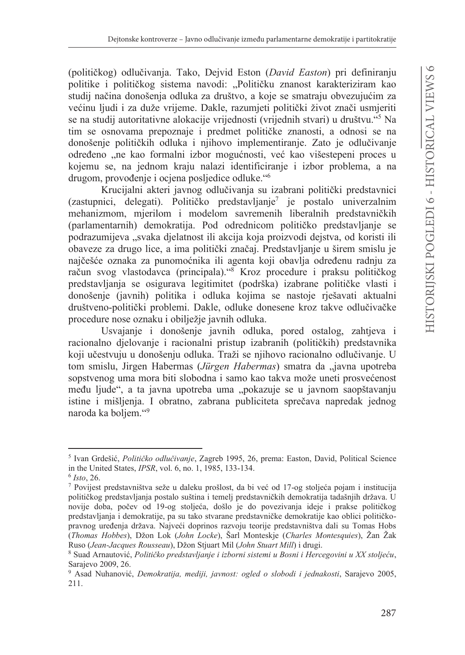(političkog) odlučivanja. Tako, Dejvid Eston (David Easton) pri definiranju politike i političkog sistema navodi: "Političku znanost karakteriziram kao studij načina donošenja odluka za društvo, a koje se smatraju obvezujućim za većinu ljudi i za duže vrijeme. Dakle, razumjeti politički život znači usmjeriti se na studij autoritativne alokacije vrijednosti (vrijednih stvari) u društvu."<sup>5</sup> Na tim se osnovama prepoznaje i predmet političke znanosti, a odnosi se na donošenje političkih odluka i njihovo implementiranje. Zato je odlučivanje određeno "ne kao formalni izbor mogućnosti, već kao višestepeni proces u kojemu se, na jednom kraju nalazi identificiranje i izbor problema, a na drugom, provođenje i ocjena posljedice odluke."<sup>6</sup>

Krucijalni akteri javnog odlučivanja su izabrani politički predstavnici (zastupnici, delegati). Političko predstavljanje<sup>7</sup> je postalo univerzalnim mehanizmom, mjerilom i modelom savremenih liberalnih predstavničkih (parlamentarnih) demokratija. Pod odrednicom političko predstavljanje se podrazumijeva "svaka djelatnost ili akcija koja proizvodi dejstva, od koristi ili obaveze za drugo lice, a ima politički značaj. Predstavljanje u širem smislu je najčešće oznaka za punomoćnika ili agenta koji obavlja određenu radnju za račun svog vlastodavca (principala)."<sup>8</sup> Kroz procedure i praksu političkog predstavljanja se osigurava legitimitet (podrška) izabrane političke vlasti i donošenje (javnih) politika i odluka kojima se nastoje rješavati aktualni društveno-politički problemi. Dakle, odluke donesene kroz takve odlučivačke procedure nose oznaku i obilježje javnih odluka.

Usvajanje i donošenje javnih odluka, pored ostalog, zahtjeva i racionalno djelovanje i racionalni pristup izabranih (političkih) predstavnika koji učestvuju u donošenju odluka. Traži se njihovo racionalno odlučivanje. U tom smislu, Jirgen Habermas (Jürgen Habermas) smatra da "javna upotreba sopstvenog uma mora biti slobodna i samo kao takva može uneti prosvećenost među ljude", a ta javna upotreba uma "pokazuje se u javnom saopštavanju istine i mišljenja. I obratno, zabrana publiciteta sprečava napredak jednog naroda ka boljem."<sup>9</sup>

<sup>&</sup>lt;sup>5</sup> Ivan Grdešić, Političko odlučivanje, Zagreb 1995, 26, prema: Easton, David, Political Science in the United States, *IPSR*, vol. 6, no. 1, 1985, 133-134.

 $6$  Isto, 26.

<sup>7</sup> Povijest predstavništva seže u daleku prošlost, da bi već od 17-og stoljeća pojam i institucija političkog predstavljanja postalo suština i temelj predstavničkih demokratija tadašnjih država. U novije doba, počev od 19-og stoljeća, došlo je do povezivanja ideje i prakse političkog predstavljanja i demokratije, pa su tako stvarane predstavničke demokratije kao oblici političkopravnog uređenja država. Najveći doprinos razvoju teorije predstavništva dali su Tomas Hobs (Thomas Hobbes), Džon Lok (John Locke), Šarl Monteskje (Charles Montesquies), Žan Žak Ruso (Jean-Jacques Rousseau), Džon Stjuart Mil (John Stuart Mill) i drugi.

<sup>&</sup>lt;sup>8</sup> Suad Arnautović, Političko predstavljanje i izborni sistemi u Bosni i Hercegovini u XX stoljeću, Sarajevo 2009, 26.

<sup>&</sup>lt;sup>9</sup> Asad Nuhanović, *Demokratija, mediji, javnost: ogled o slobodi i jednakosti*, Sarajevo 2005, 211.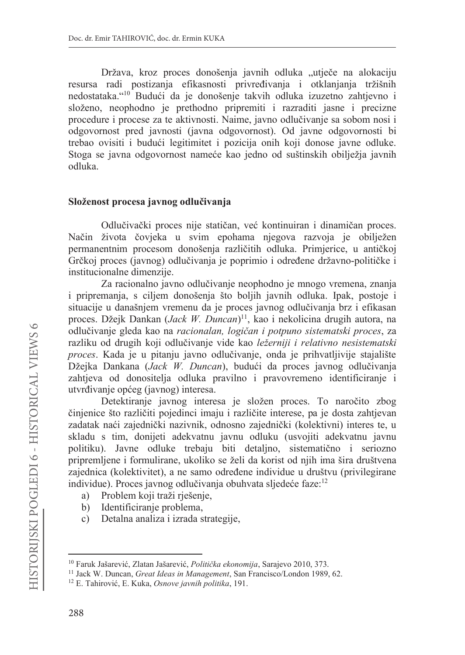Država, kroz proces donošenja javnih odluka "utječe na alokaciju resursa radi postizanja efikasnosti privređivanja i otklanjanja tržišnih nedostataka."<sup>10</sup> Budući da je donošenje takvih odluka izuzetno zahtjevno i složeno, neophodno je prethodno pripremiti i razraditi jasne i precizne procedure i procese za te aktivnosti. Naime, javno odlučivanje sa sobom nosi i odgovornost pred javnosti (javna odgovornost). Od javne odgovornosti bi trebao ovisiti i budući legitimitet i pozicija onih koji donose javne odluke. Stoga se javna odgovornost nameće kao jedno od suštinskih obilježia javnih odluka.

### Složenost procesa javnog odlučivanja

Odlučivački proces nije statičan, već kontinuiran i dinamičan proces. Način života čovjeka u svim epohama njegova razvoja je obilježen permanentnim procesom donošenja različitih odluka. Primjerice, u antičkoj Grčkoj proces (javnog) odlučivanja je poprimio i određene državno-političke i institucionalne dimenzije.

Za racionalno javno odlučivanje neophodno je mnogo vremena, znanja i pripremanja, s ciljem donošenja što boljih javnih odluka. Ipak, postoje i situacije u današnjem vremenu da je proces javnog odlučivanja brz i efikasan proces. Džejk Dankan (Jack W. Duncan)<sup>11</sup>, kao i nekolicina drugih autora, na odlučivanje gleda kao na racionalan, logičan i potpuno sistematski proces, za razliku od drugih koji odlučivanje vide kao ležerniji i relativno nesistematski proces. Kada je u pitanju javno odlučivanje, onda je prihvatljivije stajalište Džejka Dankana (Jack W. Duncan), budući da proces javnog odlučivanja zahtjeva od donositelja odluka pravilno i pravovremeno identificiranje i utvrđivanje općeg (javnog) interesa.

Detektiranje javnog interesa je složen proces. To naročito zbog činjenice što različiti pojedinci imaju i različite interese, pa je dosta zahtjevan zadatak naći zajednički nazivnik, odnosno zajednički (kolektivni) interes te, u skladu s tim, donijeti adekvatnu javnu odluku (usvojiti adekvatnu javnu politiku). Javne odluke trebaju biti detaljno, sistematično i seriozno pripremljene i formulirane, ukoliko se želi da korist od njih ima šira društvena zajednica (kolektivitet), a ne samo određene individue u društvu (privilegirane individue). Proces javnog odlučivanja obuhvata sljedeće faze:<sup>12</sup>

- Problem koji traži rješenje, a)
- Identificiranje problema,  $b)$
- Detalna analiza i izrada strategije,  $c)$

<sup>&</sup>lt;sup>10</sup> Faruk Jašarević, Zlatan Jašarević, Politička ekonomija, Sarajevo 2010, 373.

<sup>&</sup>lt;sup>11</sup> Jack W. Duncan, *Great Ideas in Management*, San Francisco/London 1989, 62.

<sup>&</sup>lt;sup>12</sup> E. Tahirović, E. Kuka, Osnove javnih politika, 191.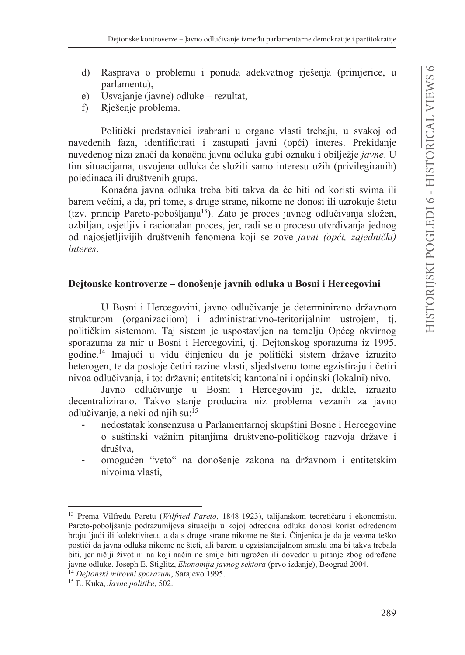- $\mathbf{d}$ Rasprava o problemu i ponuda adekvatnog rješenja (primjerice, u parlamentu).
- Usvajanje (javne) odluke rezultat,  $e)$
- $f$ Rješenje problema.

Politički predstavnici izabrani u organe vlasti trebaju, u svakoj od navedenih faza, identificirati i zastupati javni (opći) interes. Prekidanje navedenog niza znači da konačna javna odluka gubi oznaku i obilježie javne. U tim situacijama, usvojena odluka će služiti samo interesu užih (privilegiranih) pojedinaca ili društvenih grupa.

Konačna javna odluka treba biti takva da će biti od koristi svima ili barem većini, a da, pri tome, s druge strane, nikome ne donosi ili uzrokuje štetu (tzv. princip Pareto-pobošljanja<sup>13</sup>). Zato je proces javnog odlučivanja složen, ozbiljan, osjetljiv i racionalan proces, jer, radi se o procesu utvrđivanja jednog od najosjetljivijih društvenih fenomena koji se zove javni (opći, zajednički) interes.

## Dejtonske kontroverze – donošenje javnih odluka u Bosni i Hercegovini

U Bosni i Hercegovini, javno odlučivanje je determinirano državnom strukturom (organizacijom) i administrativno-teritorijalnim ustrojem, tj. političkim sistemom. Taj sistem je uspostavljen na temelju Općeg okvirnog sporazuma za mir u Bosni i Hercegovini, tj. Dejtonskog sporazuma iz 1995. godine.<sup>14</sup> Imajući u vidu činjenicu da je politički sistem države izrazito heterogen, te da postoje četiri razine vlasti, sljedstveno tome egzistiraju i četiri nivoa odlučivanja, i to: državni; entitetski; kantonalni i općinski (lokalni) nivo.

Javno odlučivanje u Bosni i Hercegovini je, dakle, izrazito decentralizirano. Takvo stanje producira niz problema vezanih za javno odlučivanje, a neki od njih su:<sup>15</sup>

- nedostatak konsenzusa u Parlamentarnoj skupštini Bosne i Hercegovine o suštinski važnim pitanjima društveno-političkog razvoja države i društva.
- omogućen "veto" na donošenje zakona na državnom i entitetskim nivoima vlasti.

<sup>&</sup>lt;sup>13</sup> Prema Vilfredu Paretu (Wilfried Pareto, 1848-1923), talijanskom teoretičaru i ekonomistu. Pareto-poboljšanje podrazumijeva situaciju u kojoj određena odluka donosi korist određenom broju ljudi ili kolektiviteta, a da s druge strane nikome ne šteti. Činjenica je da je veoma teško postići da javna odluka nikome ne šteti, ali barem u egzistancijalnom smislu ona bi takva trebala biti, jer ničiji život ni na koji način ne smije biti ugrožen ili doveden u pitanje zbog određene javne odluke. Joseph E. Stiglitz, *Ekonomija javnog sektora* (prvo izdanje), Beograd 2004.

<sup>&</sup>lt;sup>14</sup> Dejtonski mirovni sporazum, Sarajevo 1995.

<sup>&</sup>lt;sup>15</sup> E. Kuka, Javne politike, 502.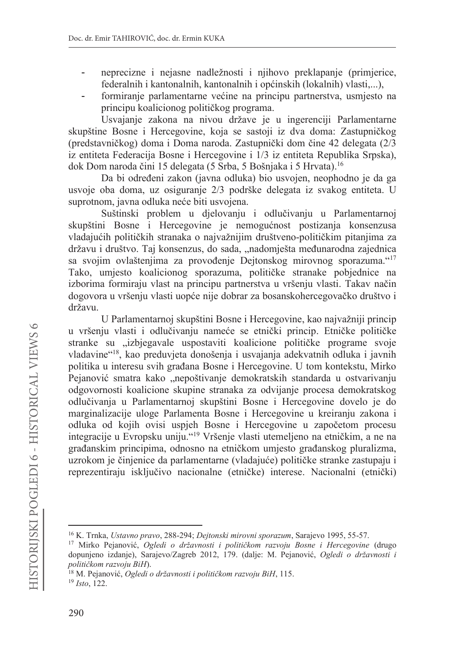- neprecizne i nejasne nadležnosti i njihovo preklapanje (primjerice, federalnih i kantonalnih, kantonalnih i općinskih (lokalnih) vlasti....),
- formiranje parlamentarne većine na principu partnerstva, usmjesto na principu koalicionog političkog programa.

Usvajanje zakona na nivou države je u ingerenciji Parlamentarne skupštine Bosne i Hercegovine, koja se sastoji iz dva doma: Zastupničkog (predstavničkog) doma i Doma naroda. Zastupnički dom čine 42 delegata (2/3 iz entiteta Federacija Bosne i Hercegovine i 1/3 iz entiteta Republika Srpska), dok Dom naroda čini 15 delegata (5 Srba, 5 Bošnjaka i 5 Hrvata).<sup>16</sup>

Da bi određeni zakon (javna odluka) bio usvojen, neophodno je da ga usvoje oba doma, uz osiguranje 2/3 podrške delegata iz svakog entiteta. U suprotnom, javna odluka neće biti usvojena.

Suštinski problem u djelovanju i odlučivanju u Parlamentarnoj skupštini Bosne i Hercegovine je nemogućnost postizanja konsenzusa vladajućih političkih stranaka o najvažnijim društveno-političkim pitanjima za državu i društvo. Taj konsenzus, do sada, "nadomješta međunarodna zajednica sa svojim ovlaštenjima za provođenje Dejtonskog mirovnog sporazuma."<sup>17</sup> Tako, umjesto koalicionog sporazuma, političke stranake pobjednice na izborima formiraju vlast na principu partnerstva u vršenju vlasti. Takav način dogovora u vršenju vlasti uopće nije dobrar za bosanskohercegovačko društvo i državu.

U Parlamentarnoj skupštini Bosne i Hercegovine, kao najvažniji princip u vršenju vlasti i odlučivanju nameće se etnički princip. Etničke političke stranke su "izbjegavale uspostaviti koalicione političke programe svoje vladavine"<sup>18</sup>, kao preduvjeta donošenja i usvajanja adekvatnih odluka i javnih politika u interesu svih građana Bosne i Hercegovine. U tom kontekstu, Mirko Pejanović smatra kako "nepoštivanje demokratskih standarda u ostvarivanju odgovornosti koalicione skupine stranaka za odvijanje procesa demokratskog odlučivanja u Parlamentarnoj skupštini Bosne i Hercegovine dovelo je do marginalizacije uloge Parlamenta Bosne i Hercegovine u kreiranju zakona i odluka od kojih ovisi uspjeh Bosne i Hercegovine u započetom procesu integracije u Evropsku uniju."<sup>19</sup> Vršenje vlasti utemeljeno na etničkim, a ne na građanskim principima, odnosno na etničkom umjesto građanskog pluralizma, uzrokom je činjenice da parlamentarne (vladajuće) političke stranke zastupaju i reprezentiraju isključivo nacionalne (etničke) interese. Nacionalni (etnički)

<sup>&</sup>lt;sup>16</sup> K. Trnka, Ustavno pravo, 288-294; Dejtonski mirovni sporazum, Sarajevo 1995, 55-57.

<sup>&</sup>lt;sup>17</sup> Mirko Pejanović, Ogledi o državnosti i političkom razvoju Bosne i Hercegovine (drugo dopunjeno izdanje), Sarajevo/Zagreb 2012, 179. (dalje: M. Pejanović, Ogledi o državnosti i političkom razvoju BiH).

<sup>&</sup>lt;sup>18</sup> M. Pejanović, Ogledi o državnosti i političkom razvoju BiH, 115.

 $19$  Isto, 122.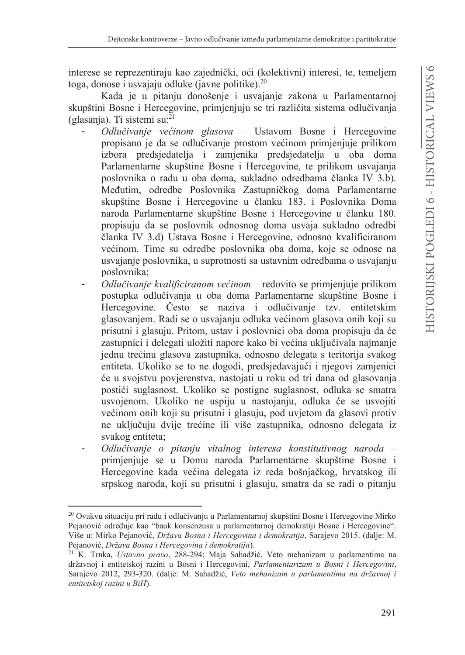interese se reprezentiraju kao zajednički, oći (kolektivni) interesi, te, temeljem toga, donose i usvajaju odluke (javne politike). $20$ 

Kada je u pitanju donošenje i usvajanje zakona u Parlamentarnoj skupštini Bosne i Hercegovine, primjenjuju se tri različita sistema odlučivanja (glasanja). Ti sistemi su:<sup>21</sup>

- Odlučivanje većinom glasova Ustavom Bosne i Hercegovine propisano je da se odlučivanje prostom većinom primjenjuje prilikom izbora predsjedatelja i zamjenika predsjedatelja u oba doma Parlamentarne skupštine Bosne i Hercegovine, te prilikom usvajanja poslovnika o radu u oba doma, sukladno odredbama članka IV 3.b). Međutim, odredbe Poslovnika Zastupničkog doma Parlamentarne skupštine Bosne i Hercegovine u članku 183. i Poslovnika Doma naroda Parlamentarne skupštine Bosne i Hercegovine u članku 180. propisuju da se poslovnik odnosnog doma usvaja sukladno odredbi članka IV 3.d) Ustava Bosne i Hercegovine, odnosno kvalificiranom većinom. Time su odredbe poslovnika oba doma, koje se odnose na usvajanje poslovnika, u suprotnosti sa ustavnim odredbama o usvajanju poslovnika;
- Odlučivanje kvalificiranom većinom redovito se primjenjuje prilikom postupka odlučivanja u oba doma Parlamentarne skupštine Bosne i Hercegovine. Često se naziva i odlučivanie tzv. entitetskim glasovanjem. Radi se o usvajanju odluka većinom glasova onih koji su prisutni i glasuju. Pritom, ustav i poslovnici oba doma propisuju da će zastupnici i delegati uložiti napore kako bi većina uključivala najmanje jednu trećinu glasova zastupnika, odnosno delegata s teritorija svakog entiteta. Ukoliko se to ne dogodi, predsjedavajući i njegovi zamjenici će u svojstvu povjerenstva, nastojati u roku od tri dana od glasovanja postići suglasnost. Ukoliko se postigne suglasnost, odluka se smatra usvojenom. Ukoliko ne uspiju u nastojanju, odluka će se usvojiti većinom onih koji su prisutni i glasuju, pod uvjetom da glasovi protiv ne uključuju dvije trećine ili više zastupnika, odnosno delegata iz svakog entiteta;
- Odlučivanje o pitanju vitalnog interesa konstitutivnog naroda primjenjuje se u Domu naroda Parlamentarne skupštine Bosne i Hercegovine kada većina delegata iz reda bošnjačkog, hrvatskog ili srpskog naroda, koji su prisutni i glasuju, smatra da se radi o pitanju

<sup>20</sup> Ovakvu situaciju pri radu i odlučivanju u Parlamentarnoj skupštini Bosne i Hercegovine Mirko Pejanović određuje kao "bauk konsenzusa u parlamentarnoj demokratiji Bosne i Hercegovine". Više u: Mirko Pejanović, Država Bosna i Hercegovina i demokratija, Sarajevo 2015. (dalje: M. Pejanović, Država Bosna i Hercegovina i demokratija).

<sup>&</sup>lt;sup>21</sup> K. Trnka, *Ustavno pravo*, 288-294; Maja Sahadžić, Veto mehanizam u parlamentima na državnoj i entitetskoj razini u Bosni i Hercegovini, Parlamentarizam u Bosni i Hercegovini, Sarajevo 2012, 293-320. (dalje: M. Sahadžić, Veto mehanizam u parlamentima na državnoj i entitetskoj razini u BiH).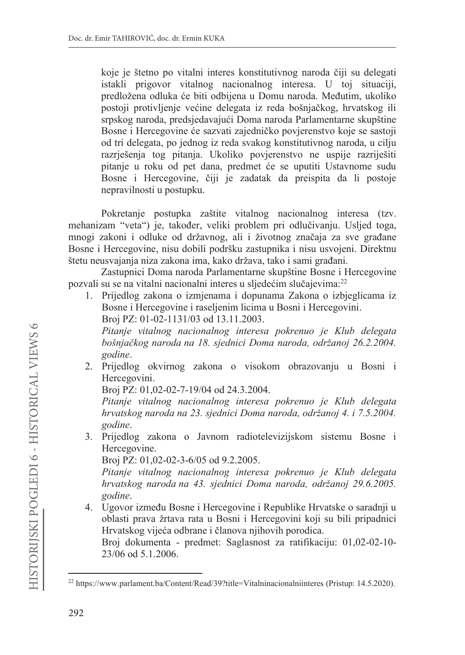koje je štetno po vitalni interes konstitutivnog naroda čiji su delegati istakli prigovor vitalnog nacionalnog interesa. U toj situaciji, predložena odluka će biti odbijena u Domu naroda. Međutim, ukoliko postoji protivljenje većine delegata iz reda bošnjačkog, hrvatskog ili srpskog naroda, predsjedavajući Doma naroda Parlamentarne skupštine Bosne i Hercegovine će sazvati zajedničko povjerenstvo koje se sastoji od tri delegata, po jednog iz reda svakog konstitutivnog naroda, u cilju razriešenia tog pitania. Ukoliko povierenstvo ne uspije razriješiti pitanje u roku od pet dana, predmet će se uputiti Ustavnome sudu Bosne i Hercegovine, čiji je zadatak da preispita da li postoje nepravilnosti u postupku.

Pokretanje postupka zaštite vitalnog nacionalnog interesa (tzv. mehanizam "veta") je, također, veliki problem pri odlučivanju. Usljed toga, mnogi zakoni i odluke od državnog, ali i životnog značaja za sve građane Bosne i Hercegovine, nisu dobili podršku zastupnika i nisu usvojeni. Direktnu štetu neusvajanja niza zakona ima, kako država, tako i sami građani.

Zastupnici Doma naroda Parlamentarne skupštine Bosne i Hercegovine pozvali su se na vitalni nacionalni interes u sljedećim slučajevima:<sup>22</sup>

1. Prijedlog zakona o izmjenama i dopunama Zakona o izbjeglicama iz Bosne i Hercegovine i raselienim licima u Bosni i Hercegovini.

Broj PZ: 01-02-1131/03 od 13.11.2003.

Pitanje vitalnog nacionalnog interesa pokrenuo je Klub delegata bošnjačkog naroda na 18. sjednici Doma naroda, održanoj 26.2.2004. godine.

2. Prijedlog okvirnog zakona o visokom obrazovanju u Bosni i Hercegovini.

Broj PZ: 01,02-02-7-19/04 od 24.3.2004.

Pitanje vitalnog nacionalnog interesa pokrenuo je Klub delegata hrvatskog naroda na 23. sjednici Doma naroda, održanoj 4. i 7.5.2004. godine.

3. Prijedlog zakona o Javnom radiotelevizijskom sistemu Bosne i Hercegovine.

Broj PZ: 01,02-02-3-6/05 od 9.2.2005.

Pitanje vitalnog nacionalnog interesa pokrenuo je Klub delegata hrvatskog naroda na 43. sjednici Doma naroda, održanoj 29.6.2005. godine.

4. Ugovor između Bosne i Hercegovine i Republike Hrvatske o saradnji u oblasti prava žrtava rata u Bosni i Hercegovini koji su bili pripadnici Hrvatskog vijeća odbrane i članova njihovih porodica.

Broj dokumenta - predmet: Saglasnost za ratifikaciju: 01,02-02-10-23/06 od 5.1.2006.

<sup>&</sup>lt;sup>22</sup> https://www.parlament.ba/Content/Read/39?title=Vitalninacionalniinteres (Pristup: 14.5.2020).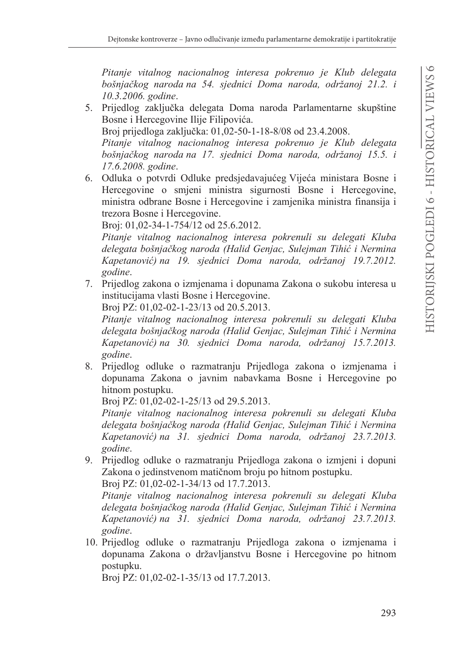*Pitanje vitalnog nacionalnog interesa pokrenuo je Klub delegata bošnjačkog naroda na 54. sjednici Doma naroda, održanoj 21.2. i 10.3.2006. godine*

- 5. Prijedlog zaključka delegata Doma naroda Parlamentarne skupštine Bosne i Hercegovine Ilije Filipovića. Broj prijedloga zaključka: 01,02-50-1-18-8/08 od 23.4.2008. *Pitanje vitalnog nacionalnog interesa pokrenuo je Klub delegata bošnjačkog naroda na 17. sjednici Doma naroda, održanoj 15.5. i 17.6.2008. godine*
- 6. Odluka o potvrdi Odluke predsjedavajućeg Vijeća ministara Bosne i Hercegovine o smjeni ministra sigurnosti Bosne i Hercegovine, ministra odbrane Bosne i Hercegovine i zamjenika ministra finansija i trezora Bosne i Hercegovine.

Broj: 01,02-34-1-754/12 od 25.6.2012.

*Pitanje vitalnog nacionalnog interesa pokrenuli su delegati Kluba delegata bošnjačkog naroda (Halid Genjac, Sulejman Tihić i Nermina Kapetanović) na 19. sjednici Doma naroda, održanoj 19.7.2012. godine*

7. Prijedlog zakona o izmjenama i dopunama Zakona o sukobu interesa u institucijama vlasti Bosne i Hercegovine.

Broi PZ: 01.02-02-1-23/13 od 20.5.2013.

*Pitanje vitalnog nacionalnog interesa pokrenuli su delegati Kluba*  delegata bošnjačkog naroda (Halid Genjac, Sulejman Tihić i Nermina *Kapetanović*) na 30. sjednici Doma naroda, održanoj 15.7.2013. *godine*

8. Prijedlog odluke o razmatranju Prijedloga zakona o izmjenama i dopunama Zakona o javnim nabavkama Bosne i Hercegovine po hitnom postupku.

Broj PZ: 01,02-02-1-25/13 od 29.5.2013.

*Pitanje vitalnog nacionalnog interesa pokrenuli su delegati Kluba delegata bošnjačkog naroda (Halid Genjac, Sulejman Tihić i Nermina Kapetanović*) na 31. sjednici Doma naroda, održanoj 23.7.2013. *godine*

9. Prijedlog odluke o razmatranju Prijedloga zakona o izmjeni i dopuni Zakona o jedinstvenom matičnom broju po hitnom postupku. Broj PZ: 01,02-02-1-34/13 od 17.7.2013.

*Pitanje vitalnog nacionalnog interesa pokrenuli su delegati Kluba*  delegata bošnjačkog naroda (Halid Genjac, Sulejman Tihić i Nermina *Kapetanović)* na 31. sjednici Doma naroda, održanoj 23.7.2013. *godine*

10. Prijedlog odluke o razmatranju Prijedloga zakona o izmjenama i dopunama Zakona o državljanstvu Bosne i Hercegovine po hitnom postupku.

Broj PZ: 01,02-02-1-35/13 od 17.7.2013.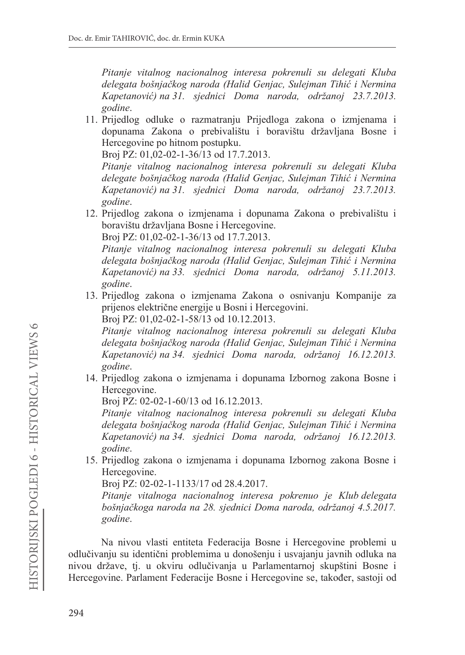*Pitanje vitalnog nacionalnog interesa pokrenuli su delegati Kluba*  delegata bošnjačkog naroda (Halid Genjac, Sulejman Tihić i Nermina *Kapetanović) na 31. sjednici Doma naroda, održanoj 23.7.2013. godine*

11. Prijedlog odluke o razmatranju Prijedloga zakona o izmjenama i dopunama Zakona o prebivalištu i boravištu državljana Bosne i Hercegovine po hitnom postupku.

Broi PZ: 01.02-02-1-36/13 od 17.7.2013.

*Pitanje vitalnog nacionalnog interesa pokrenuli su delegati Kluba*  delegate bošnjačkog naroda (Halid Genjac, Sulejman Tihić i Nermina *Kapetanović) na 31. sjednici Doma naroda, održanoj 23.7.2013. godine*

12. Prijedlog zakona o izmjenama i dopunama Zakona o prebivalištu i boravištu državljana Bosne i Hercegovine.

Broj PZ: 01,02-02-1-36/13 od 17.7.2013.

*Pitanje vitalnog nacionalnog interesa pokrenuli su delegati Kluba*  delegata bošnjačkog naroda (Halid Genjac, Sulejman Tihić i Nermina *Kapetanović) na 33. sjednici Doma naroda, održanoj 5.11.2013. godine*

13. Prijedlog zakona o izmjenama Zakona o osnivanju Kompanije za prijenos električne energije u Bosni i Hercegovini.

Broj PZ: 01,02-02-1-58/13 od 10.12.2013.

*Pitanje vitalnog nacionalnog interesa pokrenuli su delegati Kluba delegata bošnjačkog naroda (Halid Genjac, Sulejman Tihić i Nermina Kapetanović) na 34. sjednici Doma naroda, održanoj 16.12.2013. godine*

14. Prijedlog zakona o izmjenama i dopunama Izbornog zakona Bosne i Hercegovine.

Broj PZ: 02-02-1-60/13 od 16.12.2013.

*Pitanje vitalnog nacionalnog interesa pokrenuli su delegati Kluba delegata bošnjačkog naroda (Halid Genjac, Sulejman Tihić i Nermina Kapetanović) na 34. sjednici Doma naroda, održanoj 16.12.2013. godine*

15. Prijedlog zakona o izmjenama i dopunama Izbornog zakona Bosne i Hercegovine.

Broj PZ: 02-02-1-1133/17 od 28.4.2017.

*Pitanje vitalnoga nacionalnog interesa pokrenuo je Klub delegata*  bošnjačkoga naroda na 28. sjednici Doma naroda, održanoj 4.5.2017. *godine*

Na nivou vlasti entiteta Federacija Bosne i Hercegovine problemi u odlučivanju su identični problemima u donošenju i usvajanju javnih odluka na nivou države, tj. u okviru odlučivanja u Parlamentarnoj skupštini Bosne i Hercegovine. Parlament Federacije Bosne i Hercegovine se, također, sastoji od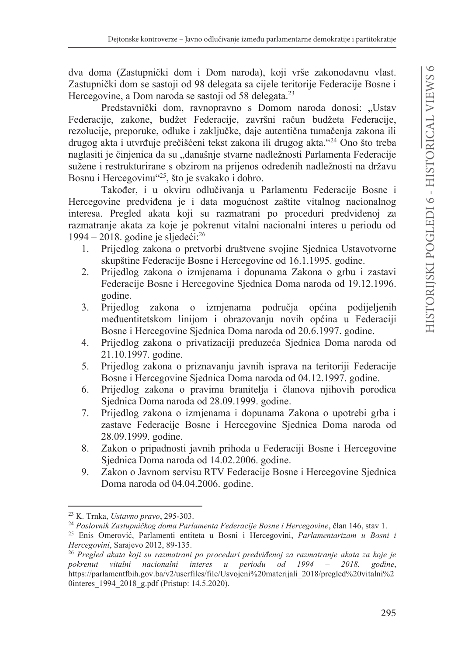dva doma (Zastupnički dom i Dom naroda), koji vrše zakonodavnu vlast. Zastupnički dom se sastoji od 98 delegata sa cijele teritorije Federacije Bosne i Hercegovine, a Dom naroda se sastoji od 58 delegata.<sup>23</sup>

Predstavnički dom, ravnopravno s Domom naroda donosi: "Ustav Federacije, zakone, budžet Federacije, završni račun budžeta Federacije, rezolucije, preporuke, odluke i zaključke, daje autentična tumačenja zakona ili drugog akta i utvrđuje prečišćeni tekst zakona ili drugog akta."<sup>24</sup> Ono što treba naglasiti je činjenica da su "današnje stvarne nadležnosti Parlamenta Federacije sužene i restrukturirane s obzirom na prijenos određenih nadležnosti na državu Bosnu i Hercegovinu<sup>425</sup>, što je svakako i dobro.

Također, i u okviru odlučivanja u Parlamentu Federacije Bosne i Hercegovine predviđena je i data mogućnost zaštite vitalnog nacionalnog interesa. Pregled akata koji su razmatrani po proceduri predviđenoj za razmatranje akata za koje je pokrenut vitalni nacionalni interes u periodu od 1994 – 2018. godine je sljedeći: $^{26}$ 

- 1. Prijedlog zakona o pretvorbi društvene svojine Sjednica Ustavotvorne skupštine Federacije Bosne i Hercegovine od 16.1.1995. godine.
- 2. Prijedlog zakona o izmjenama i dopunama Zakona o grbu i zastavi Federacije Bosne i Hercegovine Sjednica Doma naroda od 19.12.1996. godine.
- $\overline{3}$ . Prijedlog zakona o izmienama područia općina podijeljenih međuentitetskom linijom i obrazovanju novih općina u Federaciji Bosne i Hercegovine Sjednica Doma naroda od 20.6.1997. godine.
- 4. Prijedlog zakona o privatizaciji preduzeća Sjednica Doma naroda od 21.10.1997. godine.
- 5. Prijedlog zakona o priznavanju javnih isprava na teritoriji Federacije Bosne i Hercegovine Sjednica Doma naroda od 04.12.1997. godine.
- Prijedlog zakona o pravima branitelja i članova njihovih porodica 6. Sjednica Doma naroda od 28.09.1999. godine.
- 7. Prijedlog zakona o izmjenama i dopunama Zakona o upotrebi grba i zastave Federacije Bosne i Hercegovine Sjednica Doma naroda od 28.09.1999. godine.
- Zakon o pripadnosti javnih prihoda u Federaciji Bosne i Hercegovine 8. Sjednica Doma naroda od 14.02.2006. godine.
- Zakon o Javnom servisu RTV Federacije Bosne i Hercegovine Sjednica 9. Doma naroda od 04.04.2006. godine.

<sup>&</sup>lt;sup>23</sup> K. Trnka, *Ustavno pravo*, 295-303.

<sup>&</sup>lt;sup>24</sup> Poslovnik Zastupničkog doma Parlamenta Federacije Bosne i Hercegovine, član 146, stav 1.

<sup>&</sup>lt;sup>25</sup> Enis Omerović, Parlamenti entiteta u Bosni i Hercegovini, Parlamentarizam u Bosni i Hercegovini, Sarajevo 2012, 89-135.

<sup>&</sup>lt;sup>26</sup> Pregled akata koji su razmatrani po proceduri predviđenoj za razmatranje akata za koje je pokrenut vitalni nacionalni interes u periodu od 1994 2018. godine,  $\sim$ https://parlamentfbih.gov.ba/v2/userfiles/file/Usvojeni%20materijali 2018/pregled%20vitalni%2 0interes\_1994\_2018\_g.pdf (Pristup: 14.5.2020).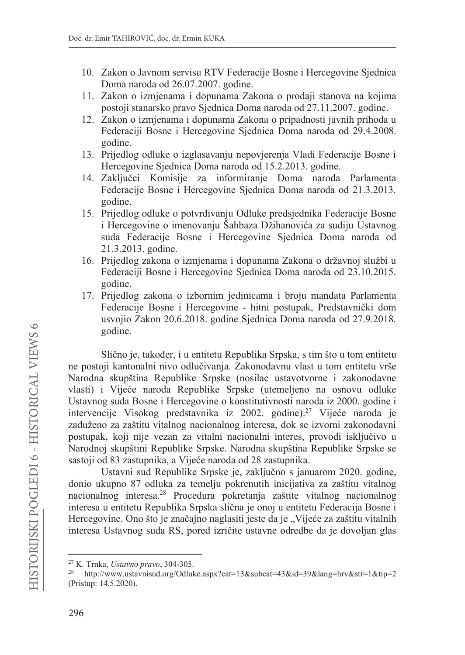- 10. Zakon o Javnom servisu RTV Federacije Bosne i Hercegovine Sjednica Doma naroda od 26.07.2007. godine.
- 11. Zakon o izmjenama i dopunama Zakona o prodaji stanova na kojima postoji stanarsko pravo Sjednica Doma naroda od 27.11.2007. godine.
- 12. Zakon o izmjenama i dopunama Zakona o pripadnosti javnih prihoda u Federaciji Bosne i Hercegovine Sjednica Doma naroda od 29.4.2008. godine.
- 13. Prijedlog odluke o izglasavanju nepovjerenja Vladi Federacije Bosne i Hercegovine Sjednica Doma naroda od 15.2.2013. godine.
- 14. Zaključci Komisije za informiranje Doma naroda Parlamenta Federacije Bosne i Hercegovine Sjednica Doma naroda od 21.3.2013. godine.
- 15. Prijedlog odluke o potvrđivanju Odluke predsjednika Federacije Bosne i Hercegovine o imenovanju Šahbaza Džihanovića za sudiju Ustavnog suda Federacije Bosne i Hercegovine Sjednica Doma naroda od 21.3.2013. godine.
- 16. Prijedlog zakona o izmjenama i dopunama Zakona o državnoj službi u Federaciji Bosne i Hercegovine Sjednica Doma naroda od 23.10.2015. godine.
- 17. Prijedlog zakona o izbornim jedinicama i broju mandata Parlamenta Federacije Bosne i Hercegovine - hitni postupak, Predstavnički dom usvojio Zakon 20.6.2018. godine Sjednica Doma naroda od 27.9.2018. godine.

Slično je, također, i u entitetu Republika Srpska, s tim što u tom entitetu ne postoji kantonalni nivo odlučivanja. Zakonodavnu vlast u tom entitetu vrše Narodna skupština Republike Srpske (nosilac ustavotvorne i zakonodavne vlasti) i Vijeće naroda Republike Srpske (utemeljeno na osnovu odluke Ustavnog suda Bosne i Hercegovine o konstitutivnosti naroda iz 2000. godine i intervencije Visokog predstavnika iz 2002. godine).<sup>27</sup> Vijeće naroda je zaduženo za zaštitu vitalnog nacionalnog interesa, dok se izvorni zakonodavni postupak, koji nije vezan za vitalni nacionalni interes, provodi isključivo u Narodnoj skupštini Republike Srpske. Narodna skupština Republike Srpske se sastoji od 83 zastupnika, a Vijeće naroda od 28 zastupnika.

Ustavni sud Republike Srpske je, zaključno s januarom 2020. godine, donio ukupno 87 odluka za temelju pokrenutih inicijativa za zaštitu vitalnog nacionalnog interesa.<sup>28</sup> Procedura pokretanja zaštite vitalnog nacionalnog interesa u entitetu Republika Srpska slična je onoj u entitetu Federacija Bosne i Hercegovine. Ono što je značajno naglasiti jeste da je "Vijeće za zaštitu vitalnih interesa Ustavnog suda RS, pored izričite ustavne odredbe da je dovoljan glas

<sup>&</sup>lt;sup>27</sup> K. Trnka, *Ustavno pravo*, 304-305.

<sup>28</sup> http://www.ustavnisud.org/Odluke.aspx?cat=13&subcat=43&id=39&lang=hrv&str=1&tip=2 (Pristup: 14.5.2020).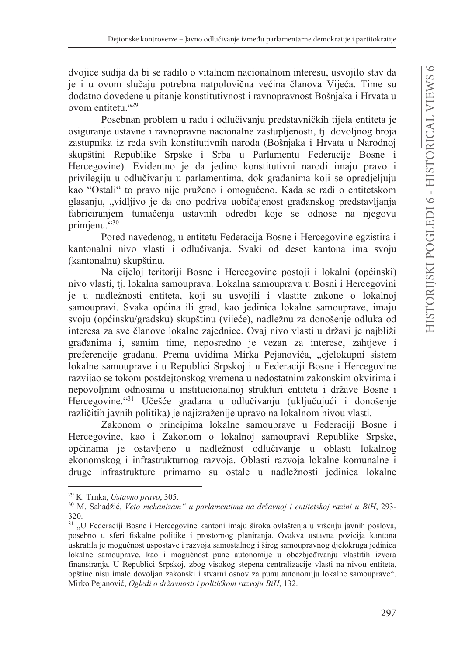dvojice sudija da bi se radilo o vitalnom nacionalnom interesu, usvojilo stav da je i u ovom slučaju potrebna natpolovična većina članova Vijeća. Time su dodatno dovedene u pitanje konstitutivnost i ravnopravnost Bošnjaka i Hrvata u ovom entitetu."29

Posebnan problem u radu i odlučivanju predstavničkih tijela entiteta je osiguranje ustavne i ravnopravne nacionalne zastupljenosti, tj. dovoljnog broja zastupnika iz reda svih konstitutivnih naroda (Bošnjaka i Hrvata u Narodnoj skupštini Republike Srpske i Srba u Parlamentu Federacije Bosne i Hercegovine). Evidentno je da jedino konstitutivni narodi imaju pravo i privilegiju u odlučivanju u parlamentima, dok građanima koji se opredjeljuju kao "Ostali" to pravo nije pruženo i omogućeno. Kada se radi o entitetskom glasanju, "vidljivo je da ono podriva uobičajenost građanskog predstavljanja fabriciranjem tumačenja ustavnih odredbi koje se odnose na njegovu primienu."30

Pored navedenog, u entitetu Federacija Bosne i Hercegovine egzistira i kantonalni nivo vlasti i odlučivanja. Svaki od deset kantona ima svoju (kantonalnu) skupštinu.

Na cijeloj teritoriji Bosne i Hercegovine postoji i lokalni (općinski) nivo vlasti, tj. lokalna samouprava. Lokalna samouprava u Bosni i Hercegovini je u nadležnosti entiteta, koji su usvojili i vlastite zakone o lokalnoj samoupravi. Svaka općina ili grad, kao jedinica lokalne samouprave, imaju svoju (općinsku/gradsku) skupštinu (vijeće), nadležnu za donošenje odluka od interesa za sve članove lokalne zajednice. Ovaj nivo vlasti u državi je najbliži građanima i, samim time, neposredno je vezan za interese, zahtjeve i preferencije građana. Prema uvidima Mirka Pejanovića, "cjelokupni sistem lokalne samouprave i u Republici Srpskoj i u Federaciji Bosne i Hercegovine razvijao se tokom postdejtonskog vremena u nedostatnim zakonskim okvirima i nepovoljnim odnosima u institucionalnoj strukturi entiteta i države Bosne i Hercegovine. <sup>431</sup> Učešće građana u odlučivanju (uključujući i donošenje različitih javnih politika) je najizraženije upravo na lokalnom nivou vlasti.

Zakonom o principima lokalne samouprave u Federaciji Bosne i Hercegovine, kao i Zakonom o lokalnoj samoupravi Republike Srpske, općinama je ostavljeno u nadležnost odlučivanje u oblasti lokalnog ekonomskog i infrastrukturnog razvoja. Oblasti razvoja lokalne komunalne i druge infrastrukture primarno su ostale u nadležnosti jedinica lokalne

<sup>&</sup>lt;sup>29</sup> K. Trnka, *Ustavno pravo*, 305.

<sup>30</sup> M. Sahadžić, Veto mehanizam" u parlamentima na državnoj i entitetskoj razini u BiH, 293-320.

<sup>&</sup>lt;sup>31</sup> "U Federaciji Bosne i Hercegovine kantoni imaju široka ovlaštenja u vršenju javnih poslova, posebno u sferi fiskalne politike i prostornog planiranja. Ovakva ustavna pozicija kantona uskratila je mogućnost uspostave i razvoja samostalnog i šireg samoupravnog djelokruga jedinica lokalne samouprave, kao i mogućnost pune autonomije u obezbjeđivanju vlastitih izvora finansiranja. U Republici Srpskoj, zbog visokog stepena centralizacije vlasti na nivou entiteta, opštine nisu imale dovoljan zakonski i stvarni osnov za punu autonomiju lokalne samouprave". Mirko Pejanović, Ogledi o državnosti i političkom razvoju BiH, 132.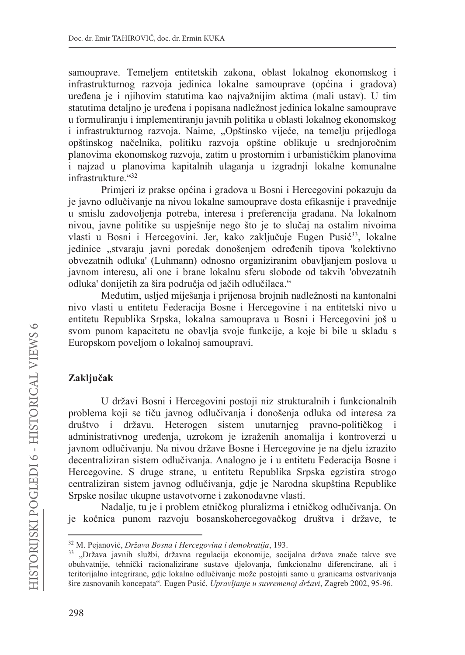samouprave. Temeljem entitetskih zakona, oblast lokalnog ekonomskog i infrastrukturnog razvoja jedinica lokalne samouprave (općina i gradova) uređena je i njihovim statutima kao najvažnijim aktima (mali ustav). U tim statutima detaljno je uređena i popisana nadležnost jedinica lokalne samouprave u formuliranju i implementiranju javnih politika u oblasti lokalnog ekonomskog i infrastrukturnog razvoja. Naime, "Opštinsko vijeće, na temelju prijedloga opštinskog načelnika, politiku razvoja opštine oblikuje u srednjoročnim planovima ekonomskog razvoja, zatim u prostornim i urbanističkim planovima i najzad u planovima kapitalnih ulaganja u izgradnji lokalne komunalne infrastrukture."32

Primjeri iz prakse općina i gradova u Bosni i Hercegovini pokazuju da je javno odlučivanje na nivou lokalne samouprave dosta efikasnije i pravednije u smislu zadovoljenja potreba, interesa i preferencija građana. Na lokalnom nivou, javne politike su uspješnije nego što je to slučaj na ostalim nivoima vlasti u Bosni i Hercegovini. Jer, kako zaključuje Eugen Pusić<sup>33</sup>, lokalne jedinice "stvaraju javni poredak donošenjem određenih tipova 'kolektivno obvezatnih odluka' (Luhmann) odnosno organiziranim obavljanjem poslova u javnom interesu, ali one i brane lokalnu sferu slobode od takvih 'obvezatnih odluka' donijetih za šira područja od jačih odlučilaca."

Međutim, usljed miješanja i prijenosa brojnih nadležnosti na kantonalni nivo vlasti u entitetu Federacija Bosne i Hercegovine i na entitetski nivo u entitetu Republika Srpska, lokalna samouprava u Bosni i Hercegovini još u svom punom kapacitetu ne obavlja svoje funkcije, a koje bi bile u skladu s Europskom poveljom o lokalnoj samoupravi.

# Zaključak

U državi Bosni i Hercegovini postoji niz strukturalnih i funkcionalnih problema koji se tiču javnog odlučivanja i donošenja odluka od interesa za društvo i državu. Heterogen sistem unutarnjeg pravno-političkog i administrativnog uređenja, uzrokom je izraženih anomalija i kontroverzi u javnom odlučivanju. Na nivou države Bosne i Hercegovine je na djelu izrazito decentraliziran sistem odlučivanja. Analogno je i u entitetu Federacija Bosne i Hercegovine. S druge strane, u entitetu Republika Srpska egzistira strogo centraliziran sistem javnog odlučivanja, gdje je Narodna skupština Republike Srpske nosilac ukupne ustavotvorne i zakonodavne vlasti.

Nadalje, tu je i problem etničkog pluralizma i etničkog odlučivanja. On je kočnica punom razvoju bosanskohercegovačkog društva i države, te

<sup>&</sup>lt;sup>32</sup> M. Pejanović, *Država Bosna i Hercegovina i demokratija*, 193.

<sup>33 &</sup>quot;Država javnih službi, državna regulacija ekonomije, socijalna država znače takve sve obuhvatnije, tehnički racionalizirane sustave djelovanja, funkcionalno diferencirane, ali i teritorijalno integrirane, gdje lokalno odlučivanje može postojati samo u granicama ostvarivanja šire zasnovanih koncepata". Eugen Pusić, Upravljanje u suvremenoj državi, Zagreb 2002, 95-96.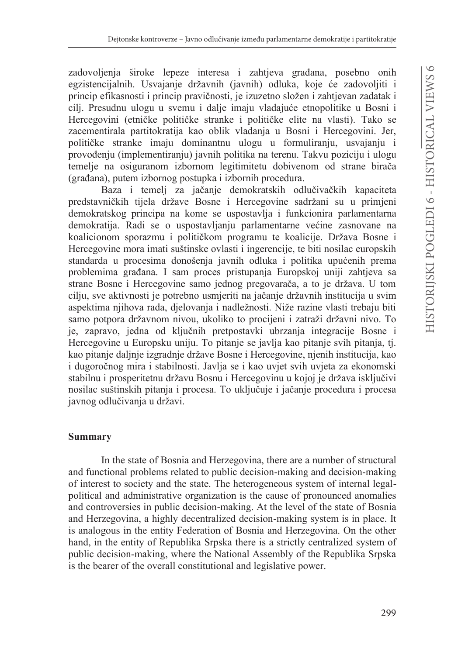zadovoljenja široke lepeze interesa i zahtjeva građana, posebno onih egzistencijalnih. Usvajanje državnih (javnih) odluka, koje će zadovoljiti i princip efikasnosti i princip pravičnosti, je izuzetno složen i zahtjevan zadatak i cili. Presudnu ulogu u svemu i dalje imaju vladajuće etnopolitike u Bosni i Hercegovini (etničke političke stranke i političke elite na vlasti). Tako se zacementirala partitokratija kao oblik vladanja u Bosni i Hercegovini. Jer, političke stranke imaju dominantnu ulogu u formuliranju, usvajanju i provođenju (implementiranju) javnih politika na terenu. Takvu poziciju i ulogu temelje na osiguranom izbornom legitimitetu dobivenom od strane birača (građana), putem izbornog postupka i izbornih procedura.

Baza i temelj za jačanje demokratskih odlučivačkih kapaciteta predstavničkih tijela države Bosne i Hercegovine sadržani su u primjeni demokratskog principa na kome se uspostavlja i funkcionira parlamentarna demokratija. Radi se o uspostavljanju parlamentarne većine zasnovane na koalicionom sporazmu i političkom programu te koalicije. Država Bosne i Hercegovine mora imati suštinske ovlasti i ingerencije, te biti nosilac europskih standarda u procesima donošenja javnih odluka i politika upućenih prema problemima građana. I sam proces pristupanja Europskoj uniji zahtjeva sa strane Bosne i Hercegovine samo jednog pregovarača, a to je država. U tom cilju, sve aktivnosti je potrebno usmjeriti na jačanje državnih institucija u svim aspektima njihova rada, djelovanja i nadležnosti. Niže razine vlasti trebaju biti samo potpora državnom nivou, ukoliko to procijeni i zatraži državni nivo. To je, zapravo, jedna od ključnih pretpostavki ubrzanja integracije Bosne i Hercegovine u Europsku uniju. To pitanje se javlja kao pitanje svih pitanja, tj. kao pitanje daljnje izgradnje države Bosne i Hercegovine, njenih institucija, kao i dugoročnog mira i stabilnosti. Javlja se i kao uvjet svih uvjeta za ekonomski stabilnu i prosperitetnu državu Bosnu i Hercegovinu u kojoj je država isključivi nosilac suštinskih pitanja i procesa. To uključuje i jačanje procedura i procesa javnog odlučivanja u državi.

## **Summary**

In the state of Bosnia and Herzegovina, there are a number of structural and functional problems related to public decision-making and decision-making of interest to society and the state. The heterogeneous system of internal legalpolitical and administrative organization is the cause of pronounced anomalies and controversies in public decision-making. At the level of the state of Bosnia and Herzegovina, a highly decentralized decision-making system is in place. It is analogous in the entity Federation of Bosnia and Herzegovina. On the other hand, in the entity of Republika Srpska there is a strictly centralized system of public decision-making, where the National Assembly of the Republika Srpska is the bearer of the overall constitutional and legislative power.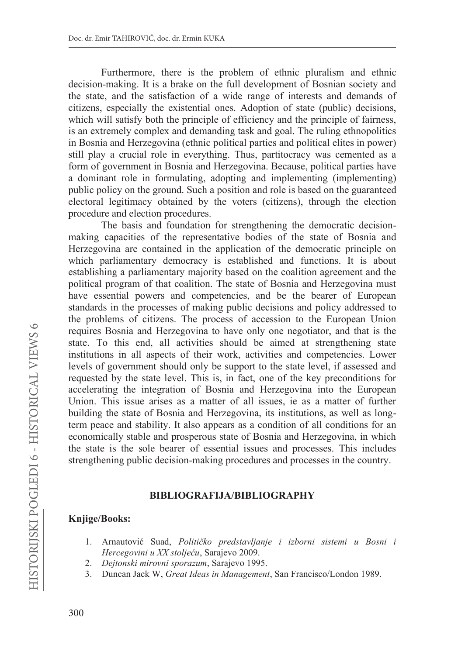Furthermore, there is the problem of ethnic pluralism and ethnic decision-making. It is a brake on the full development of Bosnian society and the state, and the satisfaction of a wide range of interests and demands of citizens, especially the existential ones. Adoption of state (public) decisions, which will satisfy both the principle of efficiency and the principle of fairness, is an extremely complex and demanding task and goal. The ruling ethnopolitics in Bosnia and Herzegovina (ethnic political parties and political elites in power) still play a crucial role in everything. Thus, partitocracy was cemented as a form of government in Bosnia and Herzegovina. Because, political parties have a dominant role in formulating, adopting and implementing (implementing) public policy on the ground. Such a position and role is based on the guaranteed electoral legitimacy obtained by the voters (citizens), through the election procedure and election procedures.

The basis and foundation for strengthening the democratic decisionmaking capacities of the representative bodies of the state of Bosnia and Herzegovina are contained in the application of the democratic principle on which parliamentary democracy is established and functions. It is about establishing a parliamentary majority based on the coalition agreement and the political program of that coalition. The state of Bosnia and Herzegovina must have essential powers and competencies, and be the bearer of European standards in the processes of making public decisions and policy addressed to the problems of citizens. The process of accession to the European Union requires Bosnia and Herzegovina to have only one negotiator, and that is the state. To this end, all activities should be aimed at strengthening state institutions in all aspects of their work, activities and competencies. Lower levels of government should only be support to the state level, if assessed and requested by the state level. This is, in fact, one of the key preconditions for accelerating the integration of Bosnia and Herzegovina into the European Union. This issue arises as a matter of all issues, ie as a matter of further building the state of Bosnia and Herzegovina, its institutions, as well as longterm peace and stability. It also appears as a condition of all conditions for an economically stable and prosperous state of Bosnia and Herzegovina, in which the state is the sole bearer of essential issues and processes. This includes strengthening public decision-making procedures and processes in the country.

### **BIBLIOGRAFLIA/BIBLIOGRAPHY**

### **Knjige/Books:**

- 1. Arnautović Suad, Političko predstavljanje i izborni sistemi u Bosni i Hercegovini u XX stoljeću, Sarajevo 2009.
- 2. Dejtonski mirovni sporazum, Sarajevo 1995.
- Duncan Jack W, Great Ideas in Management, San Francisco/London 1989.  $3.$